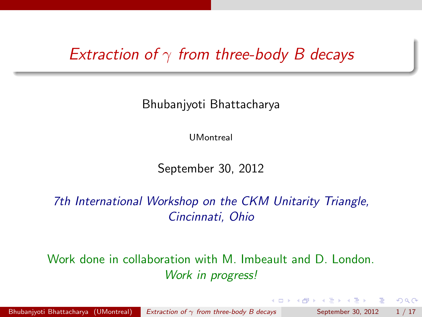### *Extraction of* γ *from three-body B decays*

Bhubanjyoti Bhattacharya

UMontreal

September 30, 2012

*7th International Workshop on the CKM Unitarity Triangle, Cincinnati, Ohio*

Work done in collaboration with M. Imbeault and D. London. *Work in progress!*

押 トラミトラミト

<span id="page-0-0"></span> $QQQ$ 

Bhubanjyoti Bhattacharya (UMontreal) *Extraction of* γ *[from three-body B decays](#page-19-0)* September 30, 2012 1 / 17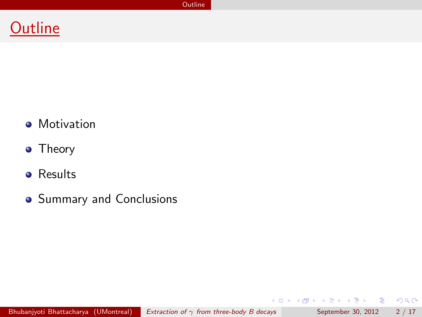**[Outline](#page-1-0)** 



- **•** Motivation
- Theory
- **•** Results
- **•** Summary and Conclusions

Bhubanjyoti Bhattacharya (UMontreal) *Extraction of* γ *[from three-body B decays](#page-0-0)* September 30, 2012 2 / 17

画

<span id="page-1-0"></span> $2QQ$ 

 $\left\{ \begin{array}{ccc} 1 & 0 & 0 \\ 0 & 1 & 0 \end{array} \right.$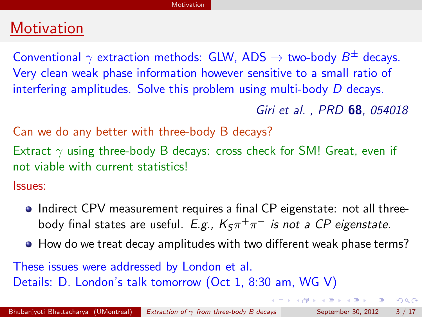## **Motivation**

Conventional  $\gamma$  extraction methods: GLW, ADS  $\rightarrow$  two-body  $B^{\pm}$  decays. Very clean weak phase information however sensitive to a small ratio of interfering amplitudes. Solve this problem using multi-body *D* decays.

*Giri et al. , PRD* **68***, 054018*

Can we do any better with three-body B decays?

Extract  $\gamma$  using three-body B decays: cross check for SM! Great, even if not viable with current statistics!

Issues:

- Indirect CPV measurement requires a final CP eigenstate: not all threebody final states are useful. *E.g.,*  $K_S \pi^+ \pi^-$  *is not a CP eigenstate.*
- How do we treat decay amplitudes with two different weak phase terms?

These issues were addressed by London et al. Details: D. London's talk tomorrow (Oct 1, 8:30 am, WG V)

<span id="page-2-0"></span>**YO A HE YEAR A HE YOUR**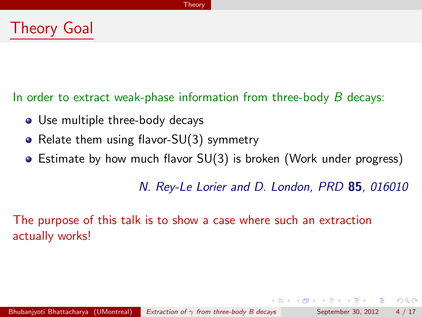## Theory Goal

In order to extract weak-phase information from three-body *B* decays:

- Use multiple three-body decays
- Relate them using flavor-SU(3) symmetry  $\bullet$
- Estimate by how much flavor SU(3) is broken (Work under progress)  $\bullet$

*N. Rey-Le Lorier and D. London, PRD* **85***, 016010*

 $\mathbf{A} \oplus \mathbf{B}$   $\mathbf{A} \oplus \mathbf{B}$   $\mathbf{A} \oplus \mathbf{B}$ 

- 3

<span id="page-3-0"></span> $QQ$ 

The purpose of this talk is to show a case where such an extraction actually works!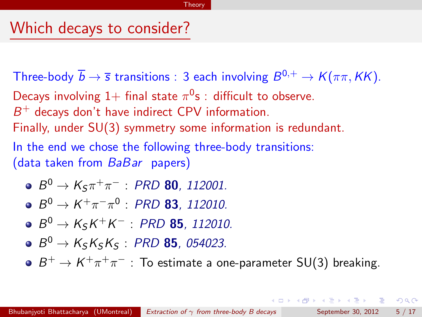### Which decays to consider?

Three-body  $\overline{b} \to \overline{s}$  transitions : 3 each involving  $B^{0,+} \to K(\pi \pi, K\tilde{k})$ . Decays involving  $1+$  final state  $\pi^0$ s : difficult to observe. *B*<sup>+</sup> decays don't have indirect CPV information. Finally, under SU(3) symmetry some information is redundant. In the end we chose the following three-body transitions: (data taken from *BaBar* papers)

- $\bullet$  *B*<sup>0</sup> → *K*<sub>S</sub> $\pi$ <sup>+</sup> $\pi$ <sup>-</sup> : *PRD* **80***, 112001.*
- $B^0 \to K^+ \pi^- \pi^0$  : *PRD* **83***, 112010.*
- $\bullet$  *B*<sup>0</sup> → *K*<sub>s</sub>*K*<sup>+</sup>*K*<sup>−</sup> : *PRD* **85***, 112010.*
- $B^0 \to K_S K_S K_S$ : *PRD* **85***, 054023.*
- $B^+ \to K^+ \pi^+ \pi^-$  : To estimate a one-parameter SU(3) breaking.

<span id="page-4-0"></span>**KORKA ERKER ADA YOUR**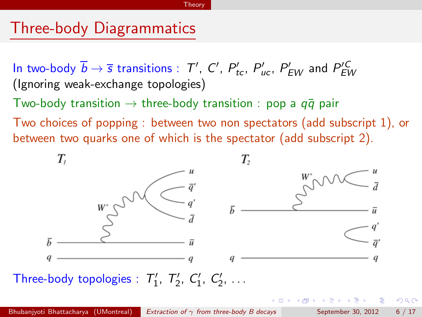## Three-body Diagrammatics

In two-body  $\overline{b} \to \overline{s}$  transitions :  $T'$ ,  $C'$ ,  $P'_{tc}$ ,  $P'_{uc}$ ,  $P'_{EW}$  and  $P'_{EW}$ (Ignoring weak-exchange topologies)

Two-body transition  $\rightarrow$  three-body transition : pop a  $q\bar{q}$  pair

Two choices of popping : between two non spectators (add subscript 1), or between two quarks one of which is the spectator (add subscript 2).

<span id="page-5-0"></span>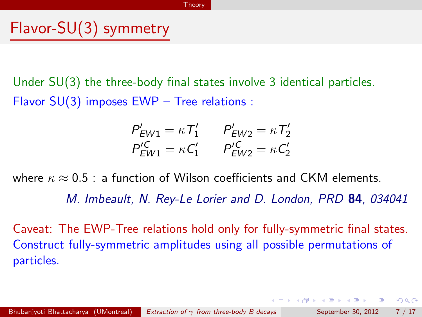## Flavor-SU(3) symmetry

Under SU(3) the three-body final states involve 3 identical particles. Flavor SU(3) imposes EWP – Tree relations :

$$
P'_{EW1} = \kappa T'_1 \t P'_{EW2} = \kappa T'_2 P'^{C}_{EW1} = \kappa C'_1 \t P'^{C}_{EW2} = \kappa C'_2
$$

where  $\kappa \approx 0.5$ : a function of Wilson coefficients and CKM elements.

*M. Imbeault, N. Rey-Le Lorier and D. London, PRD* **84***, 034041*

<span id="page-6-0"></span>**KOD KAD KED KED E VOOR** 

Caveat: The EWP-Tree relations hold only for fully-symmetric final states. Construct fully-symmetric amplitudes using all possible permutations of particles.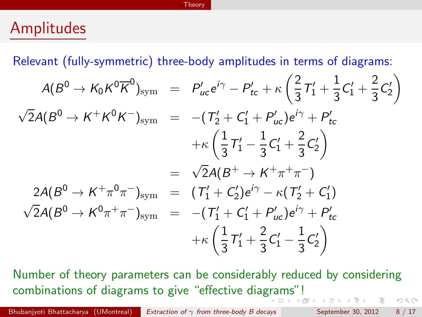### Amplitudes

Relevant (fully-symmetric) three-body amplitudes in terms of diagrams:

$$
A(B^{0} \to K_{0}K^{0}\overline{K}^{0})_{\text{sym}} = P'_{uc}e^{i\gamma} - P'_{tc} + \kappa \left(\frac{2}{3}T'_{1} + \frac{1}{3}C'_{1} + \frac{2}{3}C'_{2}\right)
$$
  

$$
\sqrt{2}A(B^{0} \to K^{+}K^{0}K^{-})_{\text{sym}} = -(T'_{2} + C'_{1} + P'_{uc})e^{i\gamma} + P'_{tc}
$$
  

$$
+ \kappa \left(\frac{1}{3}T'_{1} - \frac{1}{3}C'_{1} + \frac{2}{3}C'_{2}\right)
$$
  

$$
= \sqrt{2}A(B^{+} \to K^{+}\pi^{+}\pi^{-})
$$
  

$$
2A(B^{0} \to K^{+}\pi^{0}\pi^{-})_{\text{sym}} = (T'_{1} + C'_{2})e^{i\gamma} - \kappa (T'_{2} + C'_{1})
$$
  

$$
\sqrt{2}A(B^{0} \to K^{0}\pi^{+}\pi^{-})_{\text{sym}} = -(T'_{1} + C'_{1} + P'_{uc})e^{i\gamma} + P'_{tc}
$$
  

$$
+ \kappa \left(\frac{1}{3}T'_{1} + \frac{2}{3}C'_{1} - \frac{1}{3}C'_{2}\right)
$$

<span id="page-7-0"></span>Number of theory parameters can be considerably reduced by considering combinations of diagrams to give "effective dia[gra](#page-6-0)[ms](#page-8-0)["](#page-6-0)[!](#page-7-0)  $QQ$ 

Bhubanjyoti Bhattacharya (UMontreal) *Extraction of* γ *[from three-body B decays](#page-0-0)* September 30, 2012 8 / 17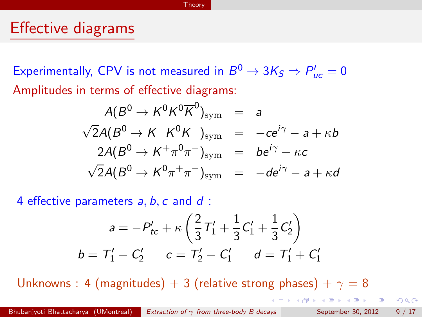### Effective diagrams

Experimentally, CPV is not measured in  $B^0 \rightarrow 3K_S \Rightarrow P'_{uc} = 0$ Amplitudes in terms of effective diagrams:

$$
A(B^{0} \rightarrow K^{0}K^{0}\overline{K}^{0})_{\text{sym}} = a
$$
  
\n
$$
\sqrt{2}A(B^{0} \rightarrow K^{+}K^{0}K^{-})_{\text{sym}} = -ce^{i\gamma} - a + \kappa b
$$
  
\n
$$
2A(B^{0} \rightarrow K^{+}\pi^{0}\pi^{-})_{\text{sym}} = be^{i\gamma} - \kappa c
$$
  
\n
$$
\sqrt{2}A(B^{0} \rightarrow K^{0}\pi^{+}\pi^{-})_{\text{sym}} = -de^{i\gamma} - a + \kappa d
$$

4 effective parameters *a*, *b*, *c* and *d* :

$$
a = -P'_{tc} + \kappa \left(\frac{2}{3}T'_1 + \frac{1}{3}C'_1 + \frac{1}{3}C'_2\right)
$$
  

$$
b = T'_1 + C'_2 \qquad c = T'_2 + C'_1 \qquad d = T'_1 + C'_1
$$

Unknowns : 4 (magnitudes) + 3 (relative strong phases) +  $\gamma = 8$ 

<span id="page-8-0"></span> $QQ$ 

**CONVERTED A BALLER**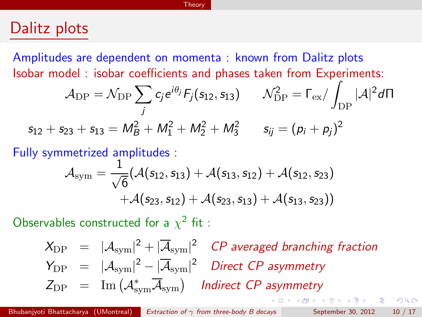### Dalitz plots

Amplitudes are dependent on momenta : known from Dalitz plots Isobar model : isobar coefficients and phases taken from Experiments:

$$
\mathcal{A}_{\rm DP} = \mathcal{N}_{\rm DP} \sum_j c_j e^{i\theta_j} F_j(s_{12}, s_{13}) \qquad \mathcal{N}_{\rm DP}^2 = \Gamma_{\rm ex} / \int_{\rm DP} |\mathcal{A}|^2 d\Pi
$$
  

$$
s_{12} + s_{23} + s_{13} = M_B^2 + M_1^2 + M_2^2 + M_3^2 \qquad s_{ij} = (p_i + p_j)^2
$$

Fully symmetrized amplitudes :

$$
\mathcal{A}_{sym} = \frac{1}{\sqrt{6}} (\mathcal{A}(s_{12}, s_{13}) + \mathcal{A}(s_{13}, s_{12}) + \mathcal{A}(s_{12}, s_{23}) + \mathcal{A}(s_{23}, s_{12}) + \mathcal{A}(s_{23}, s_{13}) + \mathcal{A}(s_{13}, s_{23}))
$$

Observables constructed for a  $\chi^2$  fit :

<span id="page-9-0"></span> $X_{\text{DP}} = |\mathcal{A}_{\text{sym}}|^2 + |\overline{\mathcal{A}}_{\text{sym}}|^2$  *CP averaged branching fraction*  $Y_{\text{DP}} = |\mathcal{A}_{\text{sym}}|^2 - |\overline{\mathcal{A}}_{\text{sym}}|^2$  *Direct CP asymmetry*  $Z_{\text{DP}} = \text{Im} \left( \mathcal{A}_{\text{sym}}^* \overline{\mathcal{A}}_{\text{sym}} \right)$  **Indirect CP asymmetry** 

Bhubanjyoti Bhattacharya (UMontreal) *Extraction of* γ *[from three-body B decays](#page-0-0)* September 30, 2012 10 / 17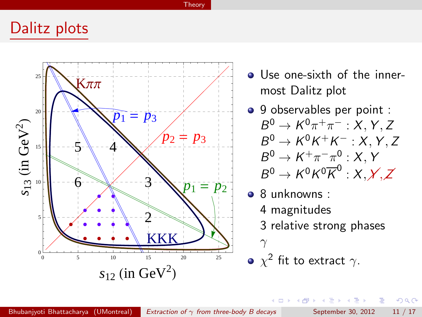### Dalitz plots



- Use one-sixth of the innermost Dalitz plot
- 9 observables per point :  $B^0 \rightarrow K^0 \pi^+ \pi^-$  : *X*, *Y*, *Z*  $B^0 \rightarrow K^0 K^+ K^-$ : *X*, *Y*, *Z*  $B^0 \to K^+\pi^-\pi^0$  : *X*, *Y*  $B^0 \to K^0 K^0 \overline{K}^0 : X, X, Z$
- 8 unknowns :

4 D F

- 4 magnitudes
- 3 relative strong phases
- $\gamma$
- $\chi^2$  fit to extract  $\gamma$ .

 $\rightarrow$   $\equiv$ 

 $\sim$ 

<span id="page-10-0"></span> $QQ$ 

œ.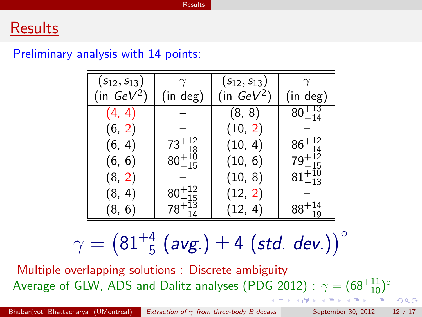### **Results**

#### Preliminary analysis with 14 points:

| $(s_{12}, s_{13})$    |                      | $(s_{12}, s_{13})$ |                  |
|-----------------------|----------------------|--------------------|------------------|
| (in $\mathsf{GeV}^2)$ | (in deg)             | (in $GeV^2$ )      | (in deg)         |
| (4, 4)                |                      | (8, 8)             | $80^{+13}_{-14}$ |
| (6, 2)                |                      | (10, 2)            |                  |
| (6, 4)                | $73^{+12}_{-18}$     | (10, 4)            | $86^{+12}_{-14}$ |
| (6, 6)                | $80^{+10}_{-15}$     | (10, 6)            | $79^{+12}_{-15}$ |
| (8, 2)                |                      | (10, 8)            | $81^{+10}_{-13}$ |
| (8, 4)                | $\rm 80^{+12}_{-15}$ | (12, 2)            |                  |
| (8, 6)                | $78^{+13}_{-14}$     | (12, 4)            |                  |

<span id="page-11-0"></span>
$$
\gamma = \left(81^{+4}_{-5} \text{ (avg.)} \pm 4 \text{ (std. dev.)}\right)^{\circ}
$$

Multiple overlapping solutions : Discrete ambiguity Average of GLW, ADS and Dalitz analyses (PDG 2012) :  $\gamma = (68^{+11}_{-10})^{\circ}$ 

Bhubanjyoti Bhattacharya (UMontreal) *Extraction of* γ *[from three-body B decays](#page-0-0)* September 30, 2012 12 / 17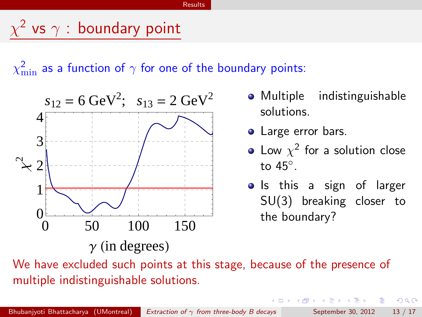# $\chi^2$  vs  $\gamma$  : boundary point

 $\chi^2_{\rm min}$  as a function of  $\gamma$  for one of the boundary points:



- Multiple indistinguishable solutions.
- Large error bars.
- Low  $\chi^2$  for a solution close to 45◦.
- Is this a sign of larger SU(3) breaking closer to the boundary?

→ 何 ▶ → ヨ ▶ → ヨ ▶

4 D F

- 3

<span id="page-12-0"></span> $QQ$ 

We have excluded such points at this stage, because of the presence of multiple indistinguishable solutions.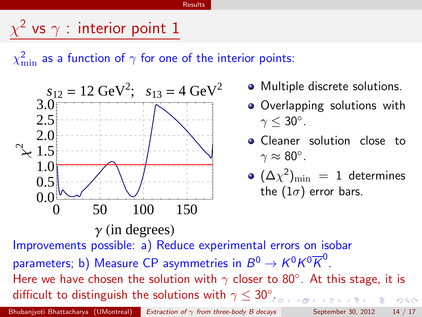## $\chi^2$  vs  $\gamma$  : interior point 1

 $\chi^2_{\rm min}$  as a function of  $\gamma$  for one of the interior points:



- Multiple discrete solutions.
- Overlapping solutions with  $\gamma$  < 30°.
- Cleaner solution close to  $\gamma \approx 80^\circ$ .
- <span id="page-13-0"></span> $({\Delta} \chi^2)_{\rm min} = 1$  determines the  $(1\sigma)$  error bars.

Improvements possible: a) Reduce experimental errors on isobar parameters; b) Measure CP asymmetries in  $B^0 \to K^0 K^0 \overline{K}^0$ . Here we have chosen the solution with  $\gamma$  closer to 80°. At this stage, it is difficult to distinguish the solutions with  $\gamma \leq 30^\circ$ [.](#page-12-0)  $QQ$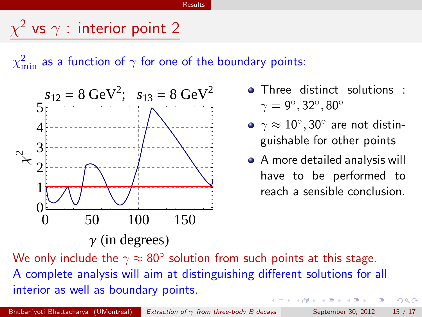## $\chi^2$  vs  $\gamma$  : interior point 2

 $\chi^2_{\rm min}$  as a function of  $\gamma$  for one of the boundary points:



- $\gamma = 9^\circ, 32^\circ, 80^\circ$
- $\gamma \approx 10^{\circ}$ , 30 $^{\circ}$  are not distinguishable for other points
- <span id="page-14-0"></span>A more detailed analysis will have to be performed to reach a sensible conclusion.

We only include the  $\gamma \approx 80^{\circ}$  solution from such points at this stage. A complete analysis will aim at distinguishing different solutions for all interior as well as boundary points. → 何 ▶ → 曰 ▶ → 曰 ▶  $QQ$ 

Bhubanjyoti Bhattacharya (UMontreal) *Extraction of* γ *[from three-body B decays](#page-0-0)* September 30, 2012 15 / 17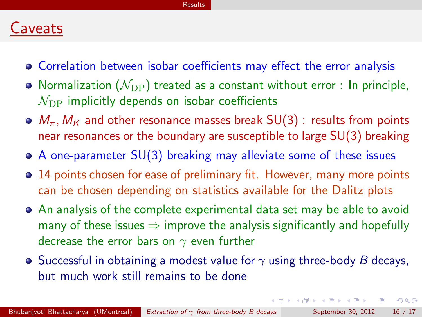### Caveats

- Correlation between isobar coefficients may effect the error analysis
- Normalization  $(\mathcal{N}_{\mathrm{DP}})$  treated as a constant without error : In principle,  $\mathcal{N}_{\text{DP}}$  implicitly depends on isobar coefficients
- $\bullet$   $M_{\pi}$ ,  $M_{K}$  and other resonance masses break SU(3) : results from points near resonances or the boundary are susceptible to large SU(3) breaking
- A one-parameter SU(3) breaking may alleviate some of these issues
- 14 points chosen for ease of preliminary fit. However, many more points can be chosen depending on statistics available for the Dalitz plots
- An analysis of the complete experimental data set may be able to avoid many of these issues  $\Rightarrow$  improve the analysis significantly and hopefully decrease the error bars on  $\gamma$  even further
- **•** Successful in obtaining a modest value for  $\gamma$  using three-body *B* decays, but much work still remains to be done

- 9

<span id="page-15-0"></span> $QQ$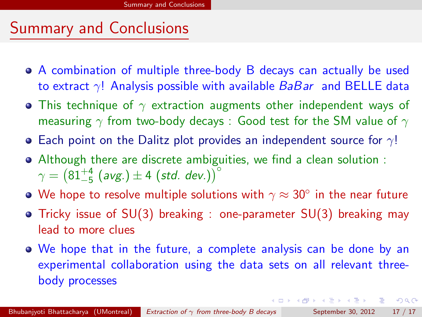## Summary and Conclusions

- A combination of multiple three-body B decays can actually be used to extract γ! Analysis possible with available *BaBar* and BELLE data
- This technique of  $\gamma$  extraction augments other independent ways of measuring  $\gamma$  from two-body decays : Good test for the SM value of  $\gamma$
- **•** Each point on the Dalitz plot provides an independent source for  $\gamma$ !
- Although there are discrete ambiguities, we find a clean solution :  $\gamma = \left(81^{+4}_{-5} \text{ (avg.)} \pm 4 \text{ (std. dev.)}\right)^{\circ}$
- We hope to resolve multiple solutions with  $\gamma \approx 30^{\circ}$  in the near future
- Tricky issue of SU(3) breaking : one-parameter SU(3) breaking may lead to more clues
- We hope that in the future, a complete analysis can be done by an experimental collaboration using the data sets on all relevant threebody processes

<span id="page-16-0"></span>**KOD KAD KED KED E VOOR**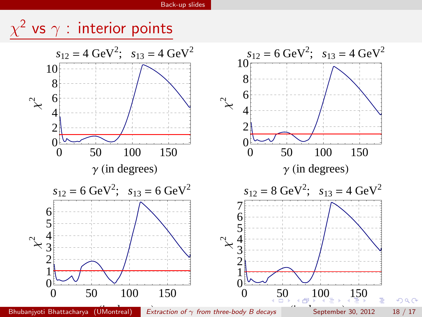<span id="page-17-0"></span>

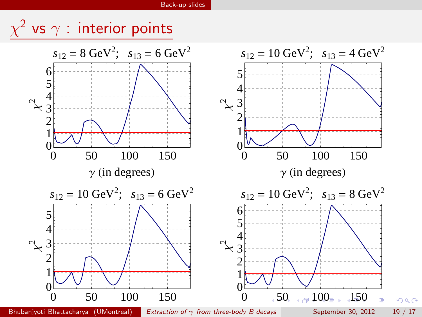<span id="page-18-0"></span>